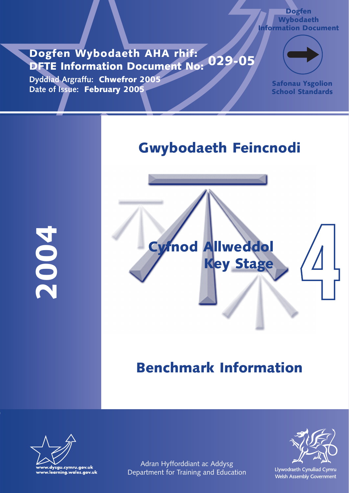# **Dogfen Wybodaeth AHA rhif: DFTE Information Document No: 029-05**

**Dyddiad Argraffu: Chwefror 2005 Date of Issue: February 2005**



**Dogfen Wybodaeth Information Document**

> **Safonau Ysgolion School Standards**

# **Gwybodaeth Feincnodi**

**2004**



# **Benchmark Information**





Adran Hyfforddiant ac Addysg Department for Training and Education

Llywodraeth Cynulliad Cymru Welsh Assembly Government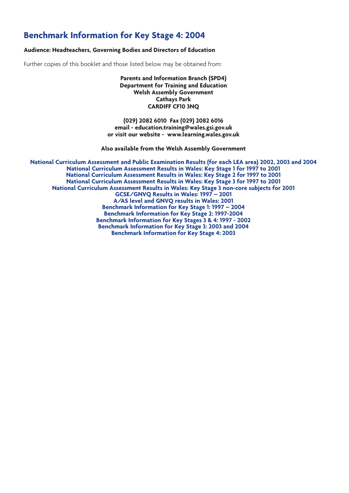# **Benchmark Information for Key Stage 4: 2004**

#### **Audience: Headteachers, Governing Bodies and Directors of Education**

Further copies of this booklet and those listed below may be obtained from:

**Parents and Information Branch (SPD4) Department for Training and Education Welsh Assembly Government Cathays Park CARDIFF CF10 3NQ**

**(029) 2082 6010 Fax (029) 2082 6016 email - education.training@wales.gsi.gov.uk or visit our website - www.learning.wales.gov.uk**

**Also available from the Welsh Assembly Government**

**National Curriculum Assessment and Public Examination Results (for each LEA area) 2002, 2003 and 2004 National Curriculum Assessment Results in Wales: Key Stage 1 for 1997 to 2001 National Curriculum Assessment Results in Wales: Key Stage 2 for 1997 to 2001 National Curriculum Assessment Results in Wales: Key Stage 3 for 1997 to 2001 National Curriculum Assessment Results in Wales: Key Stage 3 non-core subjects for 2001 GCSE/GNVQ Results in Wales: 1997 – 2001 A/AS level and GNVQ results in Wales: 2001 Benchmark Information for Key Stage 1: 1997 – 2004 Benchmark Information for Key Stage 2: 1997-2004 Benchmark Information for Key Stages 3 & 4: 1997 - 2002 Benchmark Information for Key Stage 3: 2003 and 2004 Benchmark Information for Key Stage 4: 2003**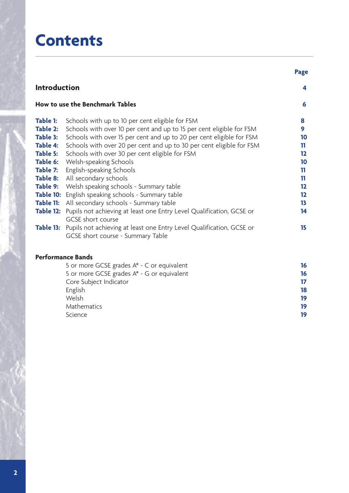# **Contents**

|                      |                                                                                                                                                                                       | <b>Page</b>    |
|----------------------|---------------------------------------------------------------------------------------------------------------------------------------------------------------------------------------|----------------|
| <b>Introduction</b>  |                                                                                                                                                                                       | 4              |
|                      | How to use the Benchmark Tables                                                                                                                                                       | 6              |
| Table 1:<br>Table 2: | Schools with up to 10 per cent eligible for FSM<br>Schools with over 10 per cent and up to 15 per cent eligible for FSM                                                               | 8<br>9         |
| Table 3:<br>Table 4: | Schools with over 15 per cent and up to 20 per cent eligible for FSM<br>Schools with over 20 per cent and up to 30 per cent eligible for FSM                                          | 10<br>11       |
| Table 5:<br>Table 7: | Schools with over 30 per cent eligible for FSM<br><b>Table 6:</b> Welsh-speaking Schools<br>English-speaking Schools                                                                  | 12<br>10<br>11 |
| Table 8:<br>Table 9: | All secondary schools<br>Welsh speaking schools - Summary table                                                                                                                       | 11<br>12       |
| Table 11:            | Table 10: English speaking schools - Summary table<br>All secondary schools - Summary table                                                                                           | $12 \,$<br>13  |
|                      | Table 12: Pupils not achieving at least one Entry Level Qualification, GCSE or<br>GCSE short course<br>Table 13: Pupils not achieving at least one Entry Level Qualification, GCSE or | 14<br>15       |
|                      | GCSE short course - Summary Table                                                                                                                                                     |                |
|                      | <b>Performance Bands</b>                                                                                                                                                              |                |
|                      | 5 or more GCSE grades $A^*$ - C or equivalent<br>5 or more GCSE grades A* - G or equivalent                                                                                           | 16<br>16       |

| <u>J OFFICIE GUJE grades A - G OFFEQUIVAIENT</u> | 10 |
|--------------------------------------------------|----|
| Core Subject Indicator                           | 17 |
| English                                          | 18 |
| Welsh                                            | 19 |
| Mathematics                                      | 19 |
| Science                                          | 19 |
|                                                  |    |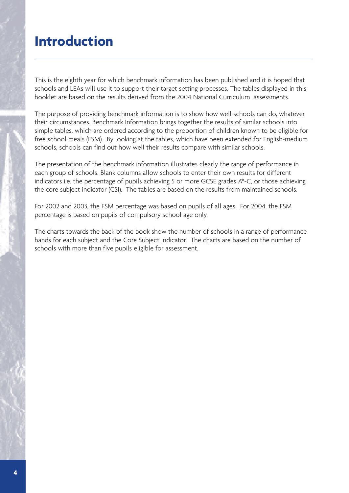# **Introduction**

This is the eighth year for which benchmark information has been published and it is hoped that schools and LEAs will use it to support their target setting processes. The tables displayed in this booklet are based on the results derived from the 2004 National Curriculum assessments.

The purpose of providing benchmark information is to show how well schools can do, whatever their circumstances. Benchmark Information brings together the results of similar schools into simple tables, which are ordered according to the proportion of children known to be eligible for free school meals (FSM). By looking at the tables, which have been extended for English-medium schools, schools can find out how well their results compare with similar schools.

The presentation of the benchmark information illustrates clearly the range of performance in each group of schools. Blank columns allow schools to enter their own results for different indicators i.e. the percentage of pupils achieving 5 or more GCSE grades A\*-C, or those achieving the core subject indicator (CSI). The tables are based on the results from maintained schools.

For 2002 and 2003, the FSM percentage was based on pupils of all ages. For 2004, the FSM percentage is based on pupils of compulsory school age only.

The charts towards the back of the book show the number of schools in a range of performance bands for each subject and the Core Subject Indicator. The charts are based on the number of schools with more than five pupils eligible for assessment.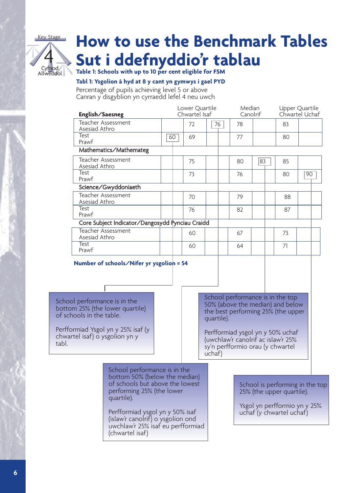

# **How to use the Benchmark Tables Sut i ddefnyddio'r tablau**

**Table 1: Schools with up to 10 per cent eligible for FSM**

# **Tabl 1: Ysgolion â hyd at 8 y cant yn gymwys i gael PYD**

Percentage of pupils achieving level 5 or above

Canran y disgyblion yn cyrraedd lefel 4 neu uwch

| English/Saesneg                                 | Lower Quartile<br>Chwartel Isaf |    |    | Median<br>Canolrif |    |    | Upper Quartile<br>Chwartel Uchaf |    |    |  |
|-------------------------------------------------|---------------------------------|----|----|--------------------|----|----|----------------------------------|----|----|--|
| Teacher Assessment<br>Asesiad Athro             |                                 | 72 | 76 |                    | 78 |    |                                  | 83 |    |  |
| Test<br>Prawf                                   | 60                              | 69 |    |                    | 77 |    |                                  | 80 |    |  |
| Mathematics/Mathemateg                          |                                 |    |    |                    |    |    |                                  |    |    |  |
| Teacher Assessment<br>Asesiad Athro             |                                 | 75 |    |                    | 80 | 83 |                                  | 85 |    |  |
| Test<br>Prawf                                   |                                 | 73 |    |                    | 76 |    |                                  | 80 | 90 |  |
| Science/Gwyddoniaeth                            |                                 |    |    |                    |    |    |                                  |    |    |  |
| Teacher Assessment<br>Asesiad Athro             |                                 | 70 |    |                    | 79 |    |                                  | 88 |    |  |
| Test<br>Prawf                                   |                                 | 76 |    |                    | 82 |    |                                  | 87 |    |  |
| Core Subject Indicator/Dangosydd Pynciau Craidd |                                 |    |    |                    |    |    |                                  |    |    |  |
| Teacher Assessment<br>Asesiad Athro             |                                 | 60 |    |                    | 67 |    |                                  | 73 |    |  |
| Test<br>Prawf                                   |                                 | 60 |    |                    | 64 |    |                                  | 71 |    |  |

### **Number of schools/Nifer yr ysgolion = 54**

School performance is in the bottom 25% (the lower quartile) of schools in the table.

Perfformiad Ysgol yn y 25% isaf (y chwartel isaf) o ysgolion yn y tabl.

School performance is in the top 50% (above the median) and below the best performing 25% (the upper quartile).

Perfformiad ysgol yn y 50% uchaf (uwchlaw'r canolrif ac islaw'r 25% sy'n perfformio orau (y chwartel uchaf)

School performance is in the bottom 50% (below the median) of schools but above the lowest performing 25% (the lower quartile).

Perfformiad ysgol yn y 50% isaf (islaw'r canolrif) o ysgolion ond uwchlaw'r 25% isaf eu perfformiad (chwartel isaf)

School is performing in the top 25% (the upper quartile).

Ysgol yn perfformio yn y 25% uchaf (y chwartel uchaf)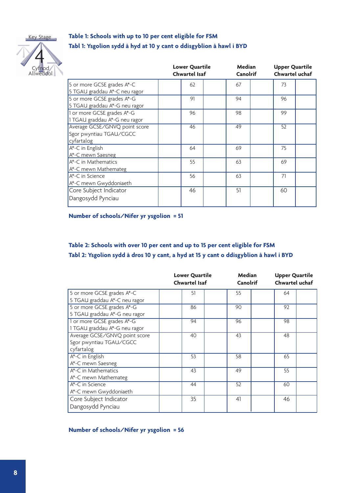Key Stage



# **Table 1: Schools with up to 10 per cent eligible for FSM Tabl 1: Ysgolion sydd â hyd at 10 y cant o ddisgyblion â hawl i BYD**

|                                                                        | <b>Lower Quartile</b><br><b>Chwartel Isaf</b> | Median<br>Canolrif | <b>Upper Quartile</b><br>Chwartel uchaf |  |
|------------------------------------------------------------------------|-----------------------------------------------|--------------------|-----------------------------------------|--|
| 5 or more GCSE grades A*-C<br>5 TGAU graddau A*-C neu ragor            | 62                                            | 67                 | 73                                      |  |
| 5 or more GCSE grades A*-G<br>5 TGAU graddau A*-G neu ragor            | 91                                            | 94                 | 96                                      |  |
| 1 or more GCSE grades A*-G<br>1 TGAU graddau A*-G neu ragor            | 96                                            | 98                 | 99                                      |  |
| Average GCSE/GNVQ point score<br>Sgor pwyntiau TGAU/CGCC<br>cyfartalog | 46                                            | 49                 | 52                                      |  |
| A*-C in English<br>A*-C mewn Saesneg                                   | 64                                            | 69                 | 75                                      |  |
| A*-C in Mathematics<br>A*-C mewn Mathemateg                            | 55                                            | 63                 | 69                                      |  |
| $A^*$ -C in Science<br>A*-C mewn Gwyddoniaeth                          | 56                                            | 63                 | 71                                      |  |
| Core Subject Indicator<br>Dangosydd Pynciau                            | 46                                            | 51                 | 60                                      |  |

**Number of schools/Nifer yr ysgolion = 51**

# **Table 2: Schools with over 10 per cent and up to 15 per cent eligible for FSM Tabl 2: Ysgolion sydd â dros 10 y cant, a hyd at 15 y cant o ddisgyblion â hawl i BYD**

|                               | <b>Lower Quartile</b><br><b>Chwartel Isaf</b> | Median<br>Canolrif | <b>Upper Quartile</b><br>Chwartel uchaf |
|-------------------------------|-----------------------------------------------|--------------------|-----------------------------------------|
| 5 or more GCSE grades A*-C    | 51                                            | 55                 | 64                                      |
| 5 TGAU graddau A*-C neu ragor |                                               |                    |                                         |
| 5 or more GCSE grades A*-G    | 86                                            | 90                 | 92                                      |
| 5 TGAU graddau A*-G neu ragor |                                               |                    |                                         |
| 1 or more GCSE grades A*-G    | 94                                            | 96                 | 98                                      |
| 1 TGAU graddau A*-G neu ragor |                                               |                    |                                         |
| Average GCSE/GNVQ point score | 40                                            | 43                 | 48                                      |
| Sgor pwyntiau TGAU/CGCC       |                                               |                    |                                         |
| cyfartalog                    |                                               |                    |                                         |
| A*-C in English               | 53                                            | 58                 | 65                                      |
| A*-C mewn Saesneg             |                                               |                    |                                         |
| A*-C in Mathematics           | 43                                            | 49                 | 55                                      |
| A*-C mewn Mathemateg          |                                               |                    |                                         |
| $A^*$ -C in Science           | 44                                            | 52                 | 60                                      |
| A*-C mewn Gwyddoniaeth        |                                               |                    |                                         |
| Core Subject Indicator        | 35                                            | 41                 | 46                                      |
| Dangosydd Pynciau             |                                               |                    |                                         |

### **Number of schools/Nifer yr ysgolion = 56**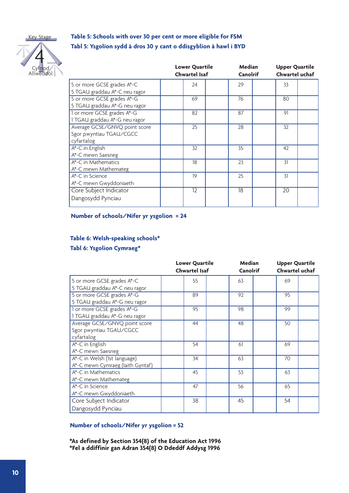Key Stage



# **Table 5: Schools with over 30 per cent or more eligible for FSM Tabl 5: Ysgolion sydd â dros 30 y cant o ddisgyblion â hawl i BYD**

|                                                                        | <b>Lower Quartile</b><br><b>Chwartel Isaf</b> | Median<br><b>Canolrif</b> | <b>Upper Quartile</b><br>Chwartel uchaf |  |
|------------------------------------------------------------------------|-----------------------------------------------|---------------------------|-----------------------------------------|--|
| 5 or more GCSE grades A*-C<br>5 TGAU graddau A*-C neu ragor            | 24                                            | 29                        | 33                                      |  |
| 5 or more GCSE grades A*-G<br>5 TGAU graddau A*-G neu ragor            | 69                                            | 76                        | 80                                      |  |
| 1 or more GCSE grades A*-G<br>1 TGAU graddau A*-G neu ragor            | 82                                            | 87                        | 91                                      |  |
| Average GCSE/GNVQ point score<br>Sgor pwyntiau TGAU/CGCC<br>cyfartalog | 25                                            | 28                        | 32                                      |  |
| A*-C in English<br>A*-C mewn Saesneg                                   | 32                                            | 35                        | 42                                      |  |
| $A^*$ -C in Mathematics<br>$A^*$ -C mewn Mathemateg                    | 18                                            | 23                        | 31                                      |  |
| $A^*$ -C in Science<br>A*-C mewn Gwyddoniaeth                          | 19                                            | 25                        | 31                                      |  |
| Core Subject Indicator<br>Dangosydd Pynciau                            | $\overline{12}$                               | 18                        | $\overline{20}$                         |  |

#### **Number of schools/Nifer yr ysgolion = 24**

# **Table 6: Welsh-speaking schools\* Tabl 6: Ysgolion Cymraeg\***

|                                                                        | <b>Lower Quartile</b><br><b>Chwartel Isaf</b> | Median<br><b>Canolrif</b> | <b>Upper Quartile</b><br>Chwartel uchaf |
|------------------------------------------------------------------------|-----------------------------------------------|---------------------------|-----------------------------------------|
| 5 or more GCSE grades A*-C<br>5 TGAU graddau A*-C neu ragor            | 55                                            | 63                        | 69                                      |
| 5 or more GCSE grades A*-G<br>5 TGAU graddau A*-G neu ragor            | 89                                            | 92                        | 95                                      |
| 1 or more GCSE grades A*-G<br>1 TGAU graddau A*-G neu ragor            | 95                                            | 98                        | 99                                      |
| Average GCSE/GNVQ point score<br>Sgor pwyntiau TGAU/CGCC<br>cyfartalog | 44                                            | 48                        | 50                                      |
| A*-C in English<br>A*-C mewn Saesneg                                   | 54                                            | 61                        | 69                                      |
| A*-C in Welsh (1st language)<br>A*-C mewn Cymraeg (laith Gyntaf)       | 34                                            | 63                        | 70                                      |
| A*-C in Mathematics<br>A*-C mewn Mathemateg                            | 45                                            | 53                        | 63                                      |
| $A^*$ -C in Science<br>A*-C mewn Gwyddoniaeth                          | 47                                            | 56                        | 65                                      |
| Core Subject Indicator<br>Dangosydd Pynciau                            | 38                                            | 45                        | 54                                      |

### **Number of schools/Nifer yr ysgolion = 52**

**\*As defined by Section 354(8) of the Education Act 1996 \*Fel a ddiffinir gan Adran 354(8) O Ddeddf Addysg 1996**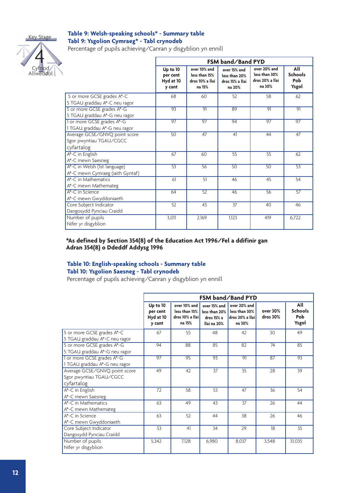

Cyfnod  $\mathsf{Id}$ ol

4

#### **Table 9: Welsh-speaking schools\* - Summary table Tabl 9: Ysgolion Cymraeg\* - Tabl crynodeb**

Percentage of pupils achieving/Canran y disgyblion yn ennill

|                                                                        |                                             |                                                            | FSM band/Band PYD                                          |                                                            |                                              |
|------------------------------------------------------------------------|---------------------------------------------|------------------------------------------------------------|------------------------------------------------------------|------------------------------------------------------------|----------------------------------------------|
|                                                                        | Up to 10<br>per cent<br>Hyd at 10<br>y cant | over 10% and<br>less than 15%<br>dros 10% a llai<br>na 15% | over 15% and<br>less than 20%<br>dros 15% a llai<br>na 20% | over 20% and<br>less than 30%<br>dros 20% a llai<br>na 30% | All<br><b>Schools</b><br><b>Pob</b><br>Ysgol |
| 5 or more GCSE grades A*-C<br>5 TGAU graddau A*-C neu ragor            | 68                                          | 60                                                         | 52                                                         | 58                                                         | 62                                           |
| 5 or more GCSE grades A*-G<br>5 TGAU graddau A*-G neu ragor            | 93                                          | $\overline{91}$                                            | 89                                                         | 91                                                         | 91                                           |
| 1 or more GCSE grades A*-G<br>1 TGAU graddau A*-G neu ragor            | 97                                          | 97                                                         | 94                                                         | 97                                                         | 97                                           |
| Average GCSE/GNVQ point score<br>Sgor pwyntiau TGAU/CGCC<br>cyfartalog | 50                                          | 47                                                         | 41                                                         | 44                                                         | 47                                           |
| A*-C in English<br>A*-C mewn Saesneg                                   | 67                                          | 60                                                         | 55                                                         | 55                                                         | 62                                           |
| A*-C in Welsh (1st language)<br>A*-C mewn Cymraeg (iaith Gyntaf)       | 53                                          | 56                                                         | 50                                                         | 50                                                         | 53                                           |
| A*-C in Mathematics<br>A*-C mewn Mathemateg                            | 61                                          | 51                                                         | 46                                                         | 45                                                         | 54                                           |
| A*-C in Science<br>A*-C mewn Gwyddoniaeth                              | 64                                          | 52                                                         | 46                                                         | 56                                                         | 57                                           |
| Core Subject Indicator<br>Dangosydd Pynciau Craidd                     | 52                                          | 43                                                         | 37                                                         | 40                                                         | 46                                           |
| Number of pupils<br>Nifer yr disgyblion                                | 3,011                                       | 2,169                                                      | 1,123                                                      | 419                                                        | 6,722                                        |

#### **\*As defined by Section 354(8) of the Education Act 1996/Fel a ddifinir gan Adran 354(8) o Ddeddf Addysg 1996**

## **Table 10: English-speaking schools - Summary table Tabl 10: Ysgolion Saesneg - Tabl crynodeb**

Percentage of pupils achieving/Canran y disgyblion yn ennill

|                                                                        |                                             |                                                            |                                                            | FSM band/Band PYD                                          |                      |                                              |
|------------------------------------------------------------------------|---------------------------------------------|------------------------------------------------------------|------------------------------------------------------------|------------------------------------------------------------|----------------------|----------------------------------------------|
|                                                                        | Up to 10<br>per cent<br>Hyd at 10<br>y cant | over 10% and<br>less than 15%<br>dros 10% a llai<br>na 15% | over 15% and<br>less than 20%<br>dros 15% a<br>llai na 20% | over 20% and<br>less than 30%<br>dros 20% a llai<br>na 30% | over 30%<br>dros 30% | All<br><b>Schools</b><br><b>Pob</b><br>Ysgol |
| 5 or more GCSE grades A*-C<br>5 TGAU graddau A*-C neu ragor            | 67                                          | 55                                                         | 48                                                         | 42                                                         | 30                   | 49                                           |
| 5 or more GCSE grades A*-G<br>5 TGAU graddau A*-G neu ragor            | 94                                          | 88                                                         | 85                                                         | 82                                                         | 74                   | 85                                           |
| 1 or more GCSE grades A*-G<br>1 TGAU graddau A*-G neu ragor            | 97                                          | 95                                                         | 93                                                         | 91                                                         | 87                   | 93                                           |
| Average GCSE/GNVQ point score<br>Sgor pwyntiau TGAU/CGCC<br>cyfartalog | 49                                          | 42                                                         | $\overline{37}$                                            | $\overline{35}$                                            | 28                   | 39                                           |
| $\overline{A^*}$ -C in English<br>A <sup>*-</sup> C mewn Saesneg       | 72                                          | 58                                                         | 53                                                         | 47                                                         | 36                   | 54                                           |
| A*-C in Mathematics<br>A*-C mewn Mathemateg                            | 63                                          | 49                                                         | 43                                                         | 37                                                         | 26                   | 44                                           |
| A <sup>*-</sup> C in Science<br>A*-C mewn Gwyddoniaeth                 | 63                                          | 52                                                         | 44                                                         | 38                                                         | 26                   | 46                                           |
| Core Subject Indicator<br>Dangosydd Pynciau Craidd                     | 53                                          | 41                                                         | 34                                                         | 29                                                         | 18                   | 35                                           |
| Number of pupils<br>Nifer yr disgyblion                                | 5,342                                       | 7,128                                                      | 6,980                                                      | 8,037                                                      | 3,548                | 31,035                                       |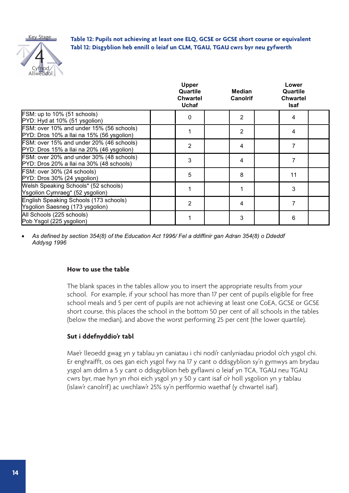

**Table 12: Pupils not achieving at least one ELQ, GCSE or GCSE short course or equivalent Tabl 12: Disgyblion heb ennill o leiaf un CLM, TGAU, TGAU cwrs byr neu gyfwerth**

|                                                                                       | <b>Upper</b><br>Quartile<br><b>Chwartel</b><br><b>Uchaf</b> | Median<br><b>Canolrif</b> | Lower<br>Quartile<br><b>Chwartel</b><br><b>Isaf</b> |  |
|---------------------------------------------------------------------------------------|-------------------------------------------------------------|---------------------------|-----------------------------------------------------|--|
| FSM: up to 10% (51 schools)<br>PYD: Hyd at 10% (51 ysgolion)                          | 0                                                           | 2                         | 4                                                   |  |
| FSM: over 10% and under 15% (56 schools)<br>PYD: Dros 10% a llai na 15% (56 ysgolion) |                                                             | 2                         | 4                                                   |  |
| FSM: over 15% and under 20% (46 schools)<br>PYD: Dros 15% a llai na 20% (46 ysgolion) | 2                                                           | 4                         |                                                     |  |
| FSM: over 20% and under 30% (48 schools)<br>PYD: Dros 20% a llai na 30% (48 schools)  | 3                                                           | 4                         | 7                                                   |  |
| FSM: over 30% (24 schools)<br>PYD: Dros 30% (24 ysgolion)                             | 5                                                           | 8                         | 11                                                  |  |
| Welsh Speaking Schools* (52 schools)<br>Ysgolion Cymraeg* (52 ysgolion)               |                                                             |                           | 3                                                   |  |
| English Speaking Schools (173 schools)<br>Ysgolion Saesneg (173 ysgolion)             | 2                                                           | 4                         | 7                                                   |  |
| All Schools (225 schools)<br>Pob Ysgol (225 ysgolion)                                 |                                                             | 3                         | 6                                                   |  |

 *As defined by section 354(8) of the Education Act 1996/ Fel a ddiffinir gan Adran 354(8) o Ddeddf Addysg 1996*

### **How to use the table**

The blank spaces in the tables allow you to insert the appropriate results from your school. For example, if your school has more than 17 per cent of pupils eligible for free school meals and 5 per cent of pupils are not achieving at least one CoEA, GCSE or GCSE short course, this places the school in the bottom 50 per cent of all schools in the tables (below the median), and above the worst performing 25 per cent (the lower quartile).

# **Sut i ddefnyddio'r tabl**

Mae'r lleoedd gwag yn y tablau yn caniatau i chi nodi'r canlyniadau priodol o'ch ysgol chi. Er enghraifft, os oes gan eich ysgol fwy na 17 y cant o ddisgyblion sy'n gymwys am brydau ysgol am ddim a 5 y cant o ddisgyblion heb gyflawni o leiaf yn TCA, TGAU neu TGAU cwrs byr, mae hyn yn rhoi eich ysgol yn y 50 y cant isaf o'r holl ysgolion yn y tablau (islaw'r canolrif) ac uwchlaw'r 25% sy'n perfformio waethaf (y chwartel isaf).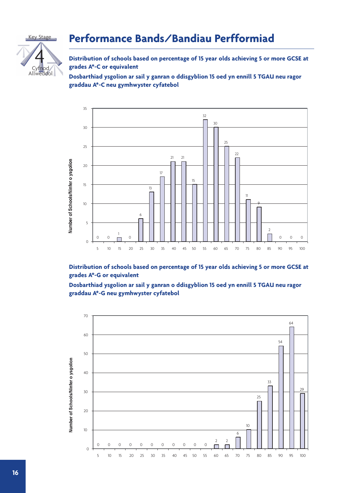



**Distribution of schools based on percentage of 15 year olds achieving 5 or more GCSE at grades A\*-C or equivalent**

**Dosbarthiad ysgolion ar sail y ganran o ddisgyblion 15 oed yn ennill 5 TGAU neu ragor graddau A\*-C neu gymhwyster cyfatebol**



**Distribution of schools based on percentage of 15 year olds achieving 5 or more GCSE at grades A\*-G or equivalent**

**Dosbarthiad ysgolion ar sail y ganran o ddisgyblion 15 oed yn ennill 5 TGAU neu ragor graddau A\*-G neu gymhwyster cyfatebol**

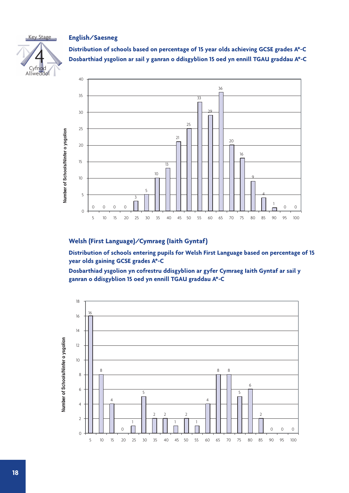### **English/Saesneg**



**Distribution of schools based on percentage of 15 year olds achieving GCSE grades A\*-C Dosbarthiad ysgolion ar sail y ganran o ddisgyblion 15 oed yn ennill TGAU graddau A\*-C**



## **Welsh (First Language)/Cymraeg (Iaith Gyntaf)**

**Distribution of schools entering pupils for Welsh First Language based on percentage of 15 year olds gaining GCSE grades A\*-C**

**Dosbarthiad ysgolion yn cofrestru ddisgyblion ar gyfer Cymraeg Iaith Gyntaf ar sail y ganran o ddisgyblion 15 oed yn ennill TGAU graddau A\*-C**

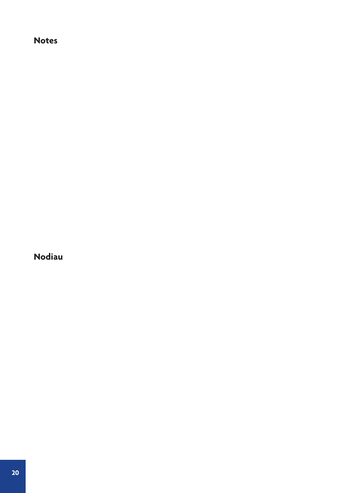# **Notes**

**Nodiau**